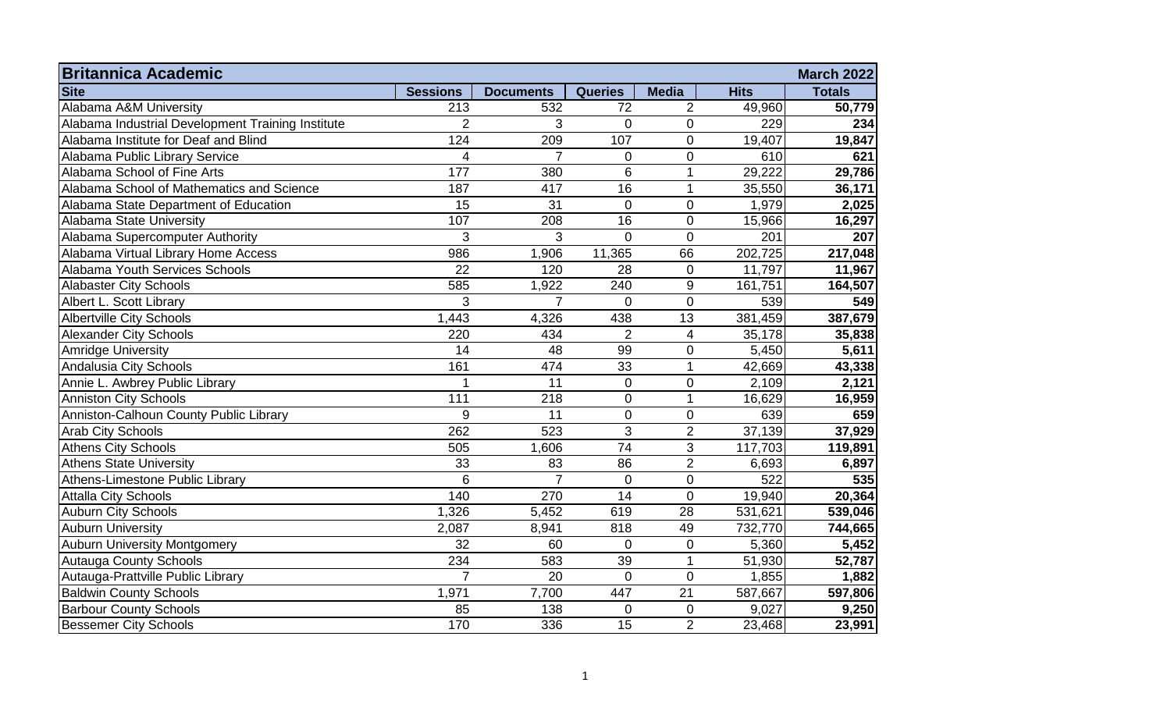| <b>Britannica Academic</b>                        |                 |                  |                 |                |             | <b>March 2022</b> |
|---------------------------------------------------|-----------------|------------------|-----------------|----------------|-------------|-------------------|
| <b>Site</b>                                       | <b>Sessions</b> | <b>Documents</b> | <b>Queries</b>  | <b>Media</b>   | <b>Hits</b> | <b>Totals</b>     |
| Alabama A&M University                            | 213             | 532              | 72              | $\overline{2}$ | 49,960      | 50,779            |
| Alabama Industrial Development Training Institute | $\overline{2}$  | 3                | $\overline{0}$  | $\pmb{0}$      | 229         | 234               |
| Alabama Institute for Deaf and Blind              | 124             | 209              | 107             | $\mathbf 0$    | 19,407      | 19,847            |
| Alabama Public Library Service                    | 4               | 7                | $\overline{0}$  | $\mathbf 0$    | 610         | 621               |
| Alabama School of Fine Arts                       | 177             | 380              | 6               | $\mathbf{1}$   | 29,222      | 29,786            |
| Alabama School of Mathematics and Science         | 187             | 417              | 16              | $\mathbf{1}$   | 35,550      | 36,171            |
| Alabama State Department of Education             | 15              | 31               | $\overline{0}$  | $\overline{0}$ | 1,979       | 2,025             |
| Alabama State University                          | 107             | 208              | 16              | $\mathbf 0$    | 15,966      | 16,297            |
| Alabama Supercomputer Authority                   | 3               | 3                | $\overline{0}$  | $\overline{0}$ | 201         | 207               |
| Alabama Virtual Library Home Access               | 986             | 1,906            | 11,365          | 66             | 202,725     | 217,048           |
| <b>Alabama Youth Services Schools</b>             | 22              | 120              | 28              | $\mathbf 0$    | 11,797      | 11,967            |
| <b>Alabaster City Schools</b>                     | 585             | 1,922            | 240             | $9\,$          | 161,751     | 164,507           |
| Albert L. Scott Library                           | 3               | $\overline{7}$   | $\Omega$        | $\overline{0}$ | 539         | 549               |
| <b>Albertville City Schools</b>                   | 1,443           | 4,326            | 438             | 13             | 381,459     | 387,679           |
| <b>Alexander City Schools</b>                     | 220             | 434              | $\overline{2}$  | 4              | 35,178      | 35,838            |
| <b>Amridge University</b>                         | 14              | 48               | 99              | $\overline{0}$ | 5,450       | 5,611             |
| Andalusia City Schools                            | 161             | 474              | 33              | $\mathbf{1}$   | 42,669      | 43,338            |
| Annie L. Awbrey Public Library                    | 1               | $\overline{11}$  | $\mathbf 0$     | $\mathbf 0$    | 2,109       | 2,121             |
| <b>Anniston City Schools</b>                      | 111             | 218              | 0               | $\mathbf{1}$   | 16,629      | 16,959            |
| Anniston-Calhoun County Public Library            | 9               | 11               | $\mathbf 0$     | $\mathbf 0$    | 639         | 659               |
| <b>Arab City Schools</b>                          | 262             | 523              | 3               | $\overline{2}$ | 37,139      | 37,929            |
| <b>Athens City Schools</b>                        | 505             | 1,606            | 74              | 3              | 117,703     | 119,891           |
| <b>Athens State University</b>                    | 33              | 83               | 86              | $\overline{2}$ | 6,693       | 6,897             |
| Athens-Limestone Public Library                   | 6               | $\overline{7}$   | 0               | $\mathbf 0$    | 522         | 535               |
| <b>Attalla City Schools</b>                       | 140             | 270              | $\overline{14}$ | $\overline{0}$ | 19,940      | 20,364            |
| <b>Auburn City Schools</b>                        | 1,326           | 5,452            | 619             | 28             | 531,621     | 539,046           |
| <b>Auburn University</b>                          | 2,087           | 8,941            | 818             | 49             | 732,770     | 744,665           |
| <b>Auburn University Montgomery</b>               | 32              | 60               | $\mathbf 0$     | $\mathbf 0$    | 5,360       | 5,452             |
| <b>Autauga County Schools</b>                     | 234             | 583              | 39              | $\mathbf 1$    | 51,930      | 52,787            |
| Autauga-Prattville Public Library                 | $\overline{7}$  | 20               | $\Omega$        | $\overline{0}$ | 1,855       | 1,882             |
| <b>Baldwin County Schools</b>                     | 1,971           | 7,700            | 447             | 21             | 587,667     | 597,806           |
| <b>Barbour County Schools</b>                     | 85              | 138              | $\Omega$        | $\mathbf 0$    | 9,027       | 9,250             |
| <b>Bessemer City Schools</b>                      | 170             | 336              | $\overline{15}$ | $\overline{2}$ | 23,468      | 23,991            |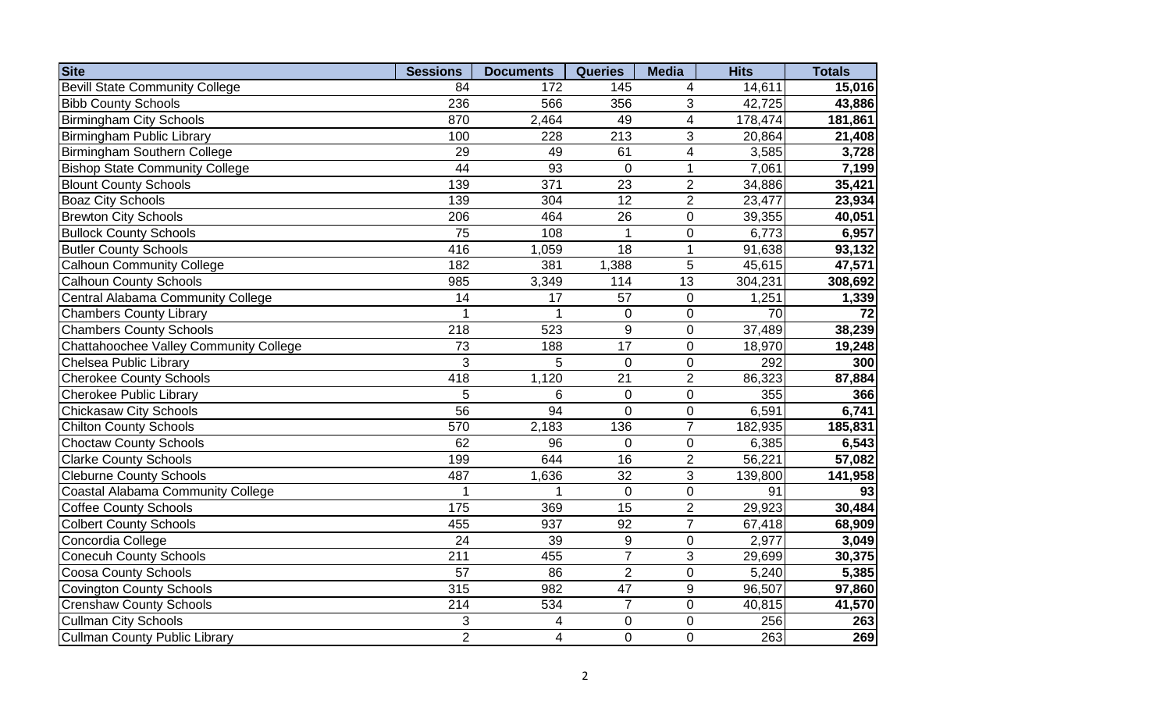| <b>Site</b>                              | <b>Sessions</b> | <b>Documents</b>         | <b>Queries</b>   | <b>Media</b>             | <b>Hits</b> | <b>Totals</b> |
|------------------------------------------|-----------------|--------------------------|------------------|--------------------------|-------------|---------------|
| <b>Bevill State Community College</b>    | 84              | 172                      | 145              | 4                        | 14,611      | 15,016        |
| <b>Bibb County Schools</b>               | 236             | 566                      | 356              | 3                        | 42,725      | 43,886        |
| <b>Birmingham City Schools</b>           | 870             | 2,464                    | 49               | $\overline{\mathbf{4}}$  | 178,474     | 181,861       |
| <b>Birmingham Public Library</b>         | 100             | 228                      | 213              | 3                        | 20,864      | 21,408        |
| Birmingham Southern College              | 29              | 49                       | 61               | $\overline{\mathcal{A}}$ | 3,585       | 3,728         |
| <b>Bishop State Community College</b>    | 44              | 93                       | $\mathbf 0$      | $\mathbf{1}$             | 7,061       | 7,199         |
| <b>Blount County Schools</b>             | 139             | 371                      | 23               | $\overline{2}$           | 34,886      | 35,421        |
| <b>Boaz City Schools</b>                 | 139             | 304                      | $\overline{12}$  | $\overline{2}$           | 23,477      | 23,934        |
| <b>Brewton City Schools</b>              | 206             | 464                      | 26               | $\overline{0}$           | 39,355      | 40,051        |
| <b>Bullock County Schools</b>            | 75              | 108                      |                  | $\mathbf 0$              | 6,773       | 6,957         |
| <b>Butler County Schools</b>             | 416             | 1,059                    | 18               | 1                        | 91,638      | 93,132        |
| Calhoun Community College                | 182             | 381                      | 1,388            | 5                        | 45,615      | 47,571        |
| <b>Calhoun County Schools</b>            | 985             | 3,349                    | 114              | 13                       | 304,231     | 308,692       |
| Central Alabama Community College        | 14              | 17                       | 57               | $\pmb{0}$                | 1,251       | 1,339         |
| <b>Chambers County Library</b>           | 1               | 1                        | $\pmb{0}$        | $\pmb{0}$                | 70          | 72            |
| <b>Chambers County Schools</b>           | 218             | 523                      | $9\,$            | $\pmb{0}$                | 37,489      | 38,239        |
| Chattahoochee Valley Community College   | 73              | 188                      | 17               | $\mathbf 0$              | 18,970      | 19,248        |
| Chelsea Public Library                   | 3               | 5                        | $\mathbf 0$      | $\mathbf 0$              | 292         | 300           |
| <b>Cherokee County Schools</b>           | 418             | 1,120                    | $\overline{21}$  | $\overline{2}$           | 86,323      | 87,884        |
| <b>Cherokee Public Library</b>           | 5               | 6                        | $\mathbf 0$      | $\overline{0}$           | 355         | 366           |
| <b>Chickasaw City Schools</b>            | 56              | 94                       | $\overline{0}$   | $\overline{0}$           | 6,591       | 6,741         |
| <b>Chilton County Schools</b>            | 570             | 2,183                    | 136              | $\overline{7}$           | 182,935     | 185,831       |
| <b>Choctaw County Schools</b>            | 62              | 96                       | $\overline{0}$   | $\overline{0}$           | 6,385       | 6,543         |
| <b>Clarke County Schools</b>             | 199             | 644                      | $\overline{16}$  | $\overline{2}$           | 56,221      | 57,082        |
| <b>Cleburne County Schools</b>           | 487             | 1,636                    | $\overline{32}$  | $\overline{3}$           | 139,800     | 141,958       |
| <b>Coastal Alabama Community College</b> | 1               |                          | $\mathbf 0$      | $\overline{0}$           | 91          | 93            |
| <b>Coffee County Schools</b>             | 175             | 369                      | 15               | $\overline{2}$           | 29,923      | 30,484        |
| <b>Colbert County Schools</b>            | 455             | 937                      | 92               | $\overline{7}$           | 67,418      | 68,909        |
| Concordia College                        | 24              | 39                       | $\boldsymbol{9}$ | $\pmb{0}$                | 2,977       | 3,049         |
| <b>Conecuh County Schools</b>            | 211             | 455                      | $\overline{7}$   | 3                        | 29,699      | 30,375        |
| <b>Coosa County Schools</b>              | 57              | 86                       | $\overline{2}$   | $\pmb{0}$                | 5,240       | 5,385         |
| <b>Covington County Schools</b>          | 315             | 982                      | 47               | 9                        | 96,507      | 97,860        |
| <b>Crenshaw County Schools</b>           | 214             | 534                      | $\overline{7}$   | $\mathbf 0$              | 40,815      | 41,570        |
| <b>Cullman City Schools</b>              | 3               | $\overline{\mathbf{4}}$  | $\mathbf 0$      | $\mathbf 0$              | 256         | 263           |
| <b>Cullman County Public Library</b>     | $\overline{2}$  | $\overline{\mathcal{A}}$ | $\mathbf 0$      | $\mathbf 0$              | 263         | 269           |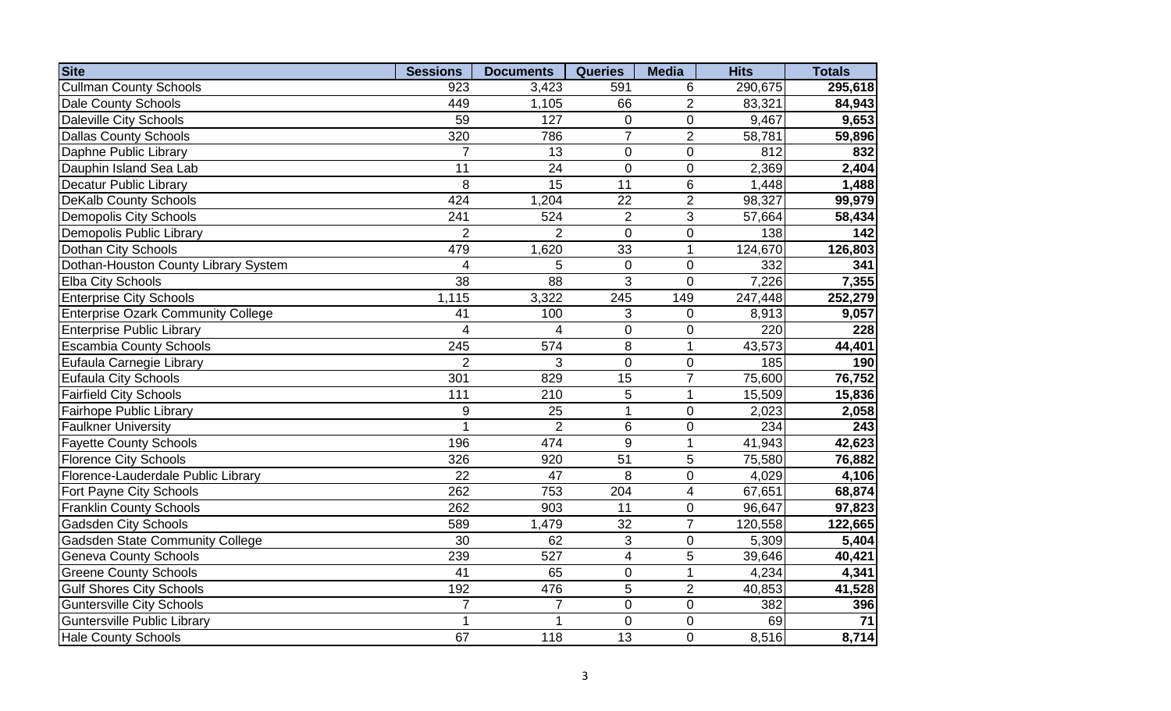| <b>Site</b>                               | <b>Sessions</b> | <b>Documents</b> | <b>Queries</b>           | <b>Media</b>   | <b>Hits</b> | <b>Totals</b>   |
|-------------------------------------------|-----------------|------------------|--------------------------|----------------|-------------|-----------------|
| <b>Cullman County Schools</b>             | 923             | 3,423            | 591                      | 6              | 290,675     | 295,618         |
| <b>Dale County Schools</b>                | 449             | 1,105            | 66                       | $\overline{2}$ | 83,321      | 84,943          |
| <b>Daleville City Schools</b>             | 59              | 127              | $\mathbf{0}$             | $\overline{0}$ | 9,467       | 9,653           |
| <b>Dallas County Schools</b>              | 320             | 786              | $\overline{7}$           | $\overline{2}$ | 58,781      | 59,896          |
| Daphne Public Library                     | $\overline{7}$  | 13               | $\overline{0}$           | $\overline{0}$ | 812         | 832             |
| Dauphin Island Sea Lab                    | 11              | 24               | $\mathbf 0$              | $\mathbf 0$    | 2,369       | 2,404           |
| <b>Decatur Public Library</b>             | 8               | 15               | $\overline{11}$          | $6\phantom{1}$ | 1,448       | 1,488           |
| <b>DeKalb County Schools</b>              | 424             | 1,204            | 22                       | $\overline{2}$ | 98,327      | 99,979          |
| <b>Demopolis City Schools</b>             | 241             | 524              | $\overline{2}$           | 3              | 57,664      | 58,434          |
| Demopolis Public Library                  | $\overline{2}$  | $\overline{2}$   | $\mathbf 0$              | $\pmb{0}$      | 138         | 142             |
| Dothan City Schools                       | 479             | 1,620            | 33                       | $\overline{1}$ | 124,670     | 126,803         |
| Dothan-Houston County Library System      | 4               | 5                | $\pmb{0}$                | $\pmb{0}$      | 332         | 341             |
| <b>Elba City Schools</b>                  | 38              | 88               | 3                        | $\mathbf 0$    | 7,226       | 7,355           |
| <b>Enterprise City Schools</b>            | 1,115           | 3,322            | 245                      | 149            | 247,448     | 252,279         |
| <b>Enterprise Ozark Community College</b> | 41              | 100              | 3                        | $\overline{0}$ | 8,913       | 9,057           |
| <b>Enterprise Public Library</b>          | 4               | 4                | $\mathbf 0$              | $\pmb{0}$      | 220         | 228             |
| <b>Escambia County Schools</b>            | 245             | 574              | 8                        | $\mathbf{1}$   | 43,573      | 44,401          |
| Eufaula Carnegie Library                  | $\overline{2}$  | $\overline{3}$   | $\overline{0}$           | $\mathbf 0$    | 185         | 190             |
| Eufaula City Schools                      | 301             | 829              | 15                       | $\overline{7}$ | 75,600      | 76,752          |
| <b>Fairfield City Schools</b>             | 111             | 210              | 5                        | $\mathbf{1}$   | 15,509      | 15,836          |
| <b>Fairhope Public Library</b>            | 9               | 25               | 1                        | $\mathbf 0$    | 2,023       | 2,058           |
| <b>Faulkner University</b>                | 1               | $\overline{2}$   | $6\phantom{1}$           | $\overline{0}$ | 234         | 243             |
| <b>Fayette County Schools</b>             | 196             | 474              | 9                        | $\mathbf{1}$   | 41,943      | 42,623          |
| <b>Florence City Schools</b>              | 326             | 920              | $\overline{51}$          | 5              | 75,580      | 76,882          |
| Florence-Lauderdale Public Library        | $\overline{22}$ | $\overline{47}$  | 8                        | $\overline{0}$ | 4,029       | 4,106           |
| Fort Payne City Schools                   | 262             | 753              | 204                      | $\overline{4}$ | 67,651      | 68,874          |
| <b>Franklin County Schools</b>            | 262             | 903              | 11                       | $\mathbf 0$    | 96,647      | 97,823          |
| <b>Gadsden City Schools</b>               | 589             | 1,479            | 32                       | $\overline{7}$ | 120,558     | 122,665         |
| <b>Gadsden State Community College</b>    | 30              | 62               | 3                        | $\mathbf 0$    | 5,309       | 5,404           |
| <b>Geneva County Schools</b>              | 239             | 527              | $\overline{\mathcal{A}}$ | 5              | 39,646      | 40,421          |
| <b>Greene County Schools</b>              | 41              | 65               | $\mathbf 0$              | 1              | 4,234       | 4,341           |
| <b>Gulf Shores City Schools</b>           | 192             | 476              | 5                        | $\overline{2}$ | 40,853      | 41,528          |
| <b>Guntersville City Schools</b>          | $\overline{7}$  | $\overline{7}$   | $\mathbf 0$              | $\mathbf 0$    | 382         | 396             |
| <b>Guntersville Public Library</b>        | $\mathbf{1}$    | 1                | $\mathbf 0$              | $\mathbf 0$    | 69          | $\overline{71}$ |
| <b>Hale County Schools</b>                | 67              | 118              | 13                       | $\overline{0}$ | 8,516       | 8,714           |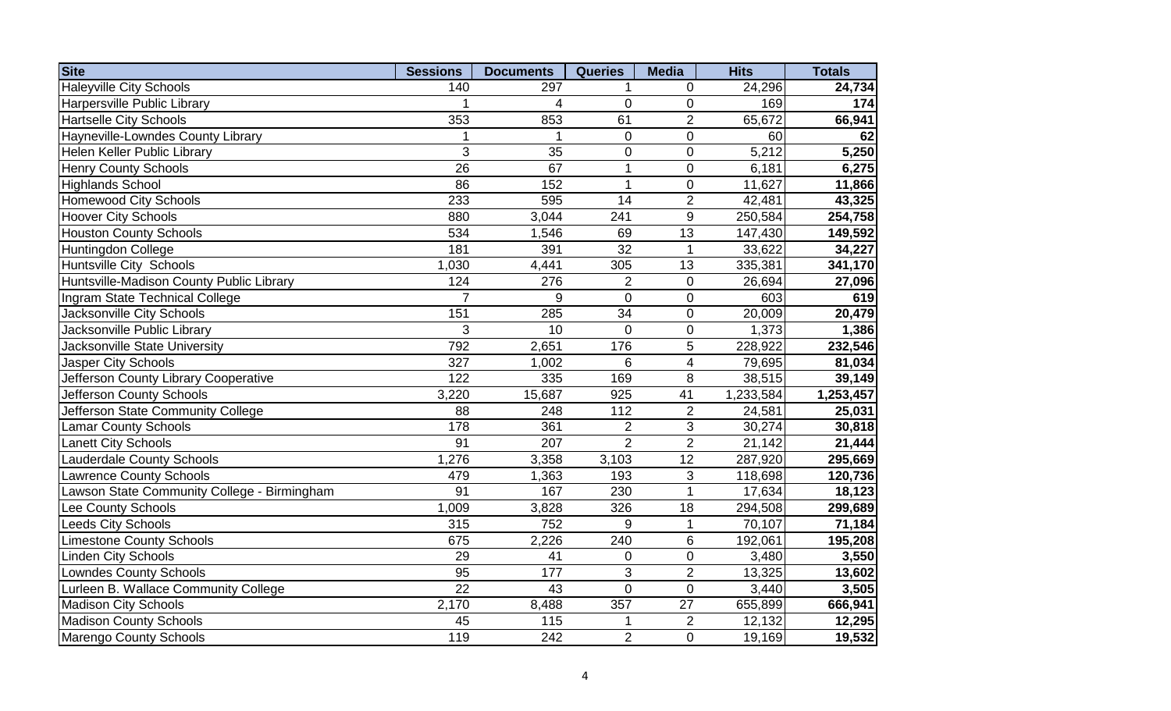| <b>Site</b>                                 | <b>Sessions</b> | <b>Documents</b> | <b>Queries</b>  | <b>Media</b>            | <b>Hits</b> | <b>Totals</b> |
|---------------------------------------------|-----------------|------------------|-----------------|-------------------------|-------------|---------------|
| <b>Haleyville City Schools</b>              | 140             | 297              | 1               | $\Omega$                | 24,296      | 24,734        |
| Harpersville Public Library                 | 1               | 4                | $\overline{0}$  | $\mathbf 0$             | 169         | 174           |
| <b>Hartselle City Schools</b>               | 353             | 853              | 61              | $\overline{2}$          | 65,672      | 66,941        |
| Hayneville-Lowndes County Library           | 1               | $\mathbf 1$      | $\overline{0}$  | $\overline{0}$          | 60          | 62            |
| Helen Keller Public Library                 | 3               | 35               | $\overline{0}$  | $\overline{0}$          | 5,212       | 5,250         |
| <b>Henry County Schools</b>                 | 26              | 67               | 1               | $\overline{0}$          | 6,181       | 6,275         |
| <b>Highlands School</b>                     | 86              | 152              | 1               | $\overline{0}$          | 11,627      | 11,866        |
| <b>Homewood City Schools</b>                | 233             | 595              | 14              | $\overline{2}$          | 42,481      | 43,325        |
| <b>Hoover City Schools</b>                  | 880             | 3,044            | 241             | 9                       | 250,584     | 254,758       |
| <b>Houston County Schools</b>               | 534             | 1,546            | 69              | $\overline{13}$         | 147,430     | 149,592       |
| Huntingdon College                          | 181             | 391              | $\overline{32}$ | $\overline{1}$          | 33,622      | 34,227        |
| Huntsville City Schools                     | 1,030           | 4,441            | 305             | 13                      | 335,381     | 341,170       |
| Huntsville-Madison County Public Library    | 124             | 276              | $\overline{2}$  | $\pmb{0}$               | 26,694      | 27,096        |
| Ingram State Technical College              | $\overline{7}$  | $\overline{9}$   | $\mathbf 0$     | $\boldsymbol{0}$        | 603         | 619           |
| Jacksonville City Schools                   | 151             | 285              | 34              | $\pmb{0}$               | 20,009      | 20,479        |
| Jacksonville Public Library                 | 3               | 10               | $\overline{0}$  | $\boldsymbol{0}$        | 1,373       | 1,386         |
| Jacksonville State University               | 792             | 2,651            | 176             | 5                       | 228,922     | 232,546       |
| Jasper City Schools                         | 327             | 1,002            | 6               | $\overline{\mathbf{4}}$ | 79,695      | 81,034        |
| Jefferson County Library Cooperative        | 122             | 335              | 169             | 8                       | 38,515      | 39,149        |
| Jefferson County Schools                    | 3,220           | 15,687           | 925             | 41                      | 1,233,584   | 1,253,457     |
| Jefferson State Community College           | 88              | 248              | 112             | $\overline{2}$          | 24,581      | 25,031        |
| <b>Lamar County Schools</b>                 | 178             | 361              | $\overline{2}$  | 3                       | 30,274      | 30,818        |
| <b>Lanett City Schools</b>                  | $\overline{91}$ | $\overline{207}$ | $\overline{2}$  | $\overline{2}$          | 21,142      | 21,444        |
| <b>Lauderdale County Schools</b>            | 1,276           | 3,358            | 3,103           | 12                      | 287,920     | 295,669       |
| <b>Lawrence County Schools</b>              | 479             | 1,363            | 193             | 3                       | 118,698     | 120,736       |
| Lawson State Community College - Birmingham | $\overline{91}$ | 167              | 230             | $\mathbf{1}$            | 17,634      | 18,123        |
| Lee County Schools                          | 1,009           | 3,828            | 326             | 18                      | 294,508     | 299,689       |
| <b>Leeds City Schools</b>                   | 315             | 752              | 9               | $\mathbf 1$             | 70,107      | 71,184        |
| <b>Limestone County Schools</b>             | 675             | 2,226            | 240             | 6                       | 192,061     | 195,208       |
| Linden City Schools                         | 29              | 41               | $\mathbf 0$     | $\mathbf 0$             | 3,480       | 3,550         |
| <b>Lowndes County Schools</b>               | $\overline{95}$ | 177              | 3               | $\overline{2}$          | 13,325      | 13,602        |
| Lurleen B. Wallace Community College        | $\overline{22}$ | 43               | $\overline{0}$  | $\overline{0}$          | 3,440       | 3,505         |
| Madison City Schools                        | 2,170           | 8,488            | 357             | $\overline{27}$         | 655,899     | 666,941       |
| <b>Madison County Schools</b>               | 45              | 115              | 1               | $\overline{2}$          | 12,132      | 12,295        |
| Marengo County Schools                      | 119             | 242              | $\overline{2}$  | $\overline{0}$          | 19,169      | 19,532        |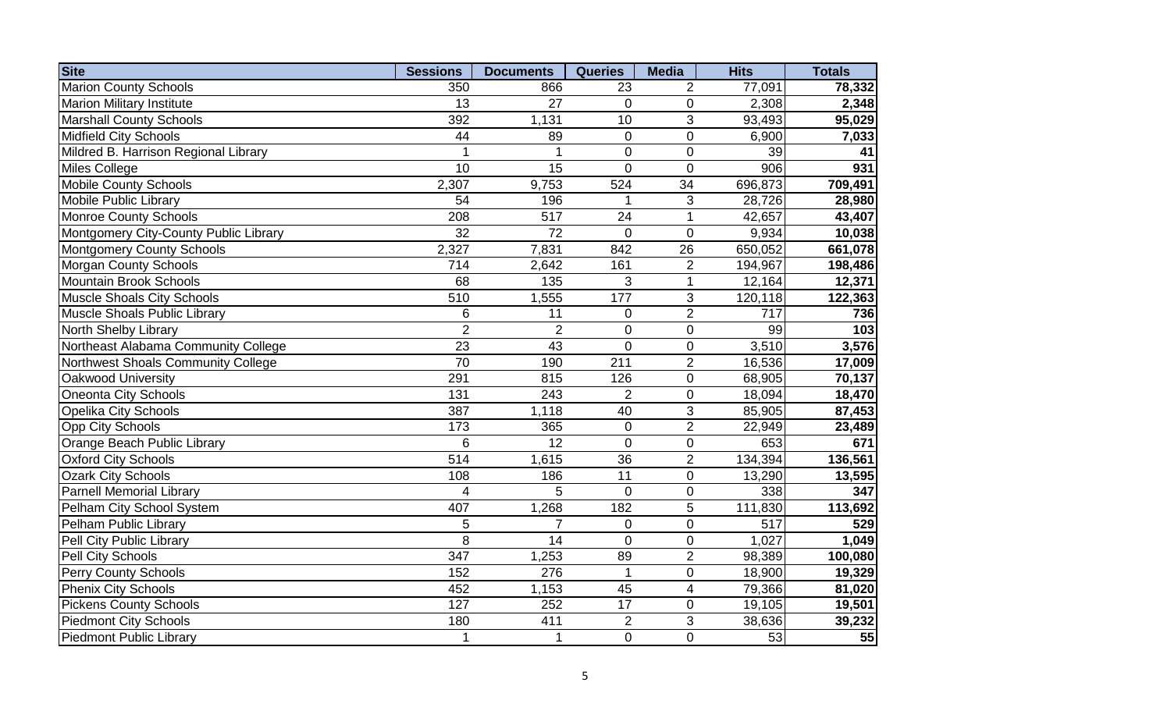| <b>Site</b>                           | <b>Sessions</b>  | <b>Documents</b> | <b>Queries</b>  | <b>Media</b>    | <b>Hits</b> | <b>Totals</b> |
|---------------------------------------|------------------|------------------|-----------------|-----------------|-------------|---------------|
| <b>Marion County Schools</b>          | 350              | 866              | 23              | $\overline{2}$  | 77,091      | 78,332        |
| <b>Marion Military Institute</b>      | 13               | 27               | $\mathbf{0}$    | $\overline{0}$  | 2,308       | 2,348         |
| <b>Marshall County Schools</b>        | 392              | 1,131            | 10              | 3               | 93,493      | 95,029        |
| <b>Midfield City Schools</b>          | 44               | 89               | $\mathbf 0$     | $\overline{0}$  | 6,900       | 7,033         |
| Mildred B. Harrison Regional Library  | 1                | 1                | $\mathbf 0$     | $\mathbf 0$     | 39          | 41            |
| Miles College                         | 10               | $\overline{15}$  | $\overline{0}$  | $\overline{0}$  | 906         | 931           |
| <b>Mobile County Schools</b>          | 2,307            | 9,753            | 524             | $\overline{34}$ | 696,873     | 709,491       |
| <b>Mobile Public Library</b>          | 54               | 196              | 1               | 3               | 28,726      | 28,980        |
| <b>Monroe County Schools</b>          | 208              | $\overline{517}$ | 24              | $\mathbf{1}$    | 42,657      | 43,407        |
| Montgomery City-County Public Library | $\overline{32}$  | $\overline{72}$  | $\mathbf 0$     | $\overline{0}$  | 9,934       | 10,038        |
| <b>Montgomery County Schools</b>      | 2,327            | 7,831            | 842             | $\overline{26}$ | 650,052     | 661,078       |
| <b>Morgan County Schools</b>          | 714              | 2,642            | 161             | $\mathbf 2$     | 194,967     | 198,486       |
| <b>Mountain Brook Schools</b>         | 68               | 135              | 3               | $\mathbf{1}$    | 12,164      | 12,371        |
| <b>Muscle Shoals City Schools</b>     | 510              | 1,555            | 177             | 3               | 120,118     | 122,363       |
| Muscle Shoals Public Library          | 6                | 11               | $\mathbf 0$     | $\overline{2}$  | 717         | 736           |
| North Shelby Library                  | $\overline{2}$   | $\overline{2}$   | $\pmb{0}$       | $\pmb{0}$       | 99          | 103           |
| Northeast Alabama Community College   | 23               | 43               | $\mathbf 0$     | $\pmb{0}$       | 3,510       | 3,576         |
| Northwest Shoals Community College    | 70               | 190              | 211             | $\overline{2}$  | 16,536      | 17,009        |
| Oakwood University                    | 291              | 815              | 126             | $\overline{0}$  | 68,905      | 70,137        |
| <b>Oneonta City Schools</b>           | 131              | 243              | $\overline{2}$  | $\pmb{0}$       | 18,094      | 18,470        |
| <b>Opelika City Schools</b>           | 387              | 1,118            | 40              | 3               | 85,905      | 87,453        |
| <b>Opp City Schools</b>               | 173              | 365              | $\overline{0}$  | $\overline{2}$  | 22,949      | 23,489        |
| Orange Beach Public Library           | 6                | $\overline{12}$  | $\overline{0}$  | $\overline{0}$  | 653         | 671           |
| <b>Oxford City Schools</b>            | $\overline{514}$ | 1,615            | $\overline{36}$ | $\overline{2}$  | 134,394     | 136,561       |
| <b>Ozark City Schools</b>             | 108              | 186              | $\overline{11}$ | $\mathbf 0$     | 13,290      | 13,595        |
| <b>Parnell Memorial Library</b>       | $\overline{4}$   | 5                | $\mathbf 0$     | $\mathbf 0$     | 338         | 347           |
| Pelham City School System             | 407              | 1,268            | 182             | 5               | 111,830     | 113,692       |
| Pelham Public Library                 | 5                | $\overline{7}$   | $\mathbf 0$     | $\pmb{0}$       | 517         | 529           |
| Pell City Public Library              | 8                | 14               | $\mathbf 0$     | $\pmb{0}$       | 1,027       | 1,049         |
| Pell City Schools                     | 347              | 1,253            | 89              | $\overline{2}$  | 98,389      | 100,080       |
| <b>Perry County Schools</b>           | 152              | 276              | $\mathbf{1}$    | $\pmb{0}$       | 18,900      | 19,329        |
| Phenix City Schools                   | 452              | 1,153            | 45              | 4               | 79,366      | 81,020        |
| <b>Pickens County Schools</b>         | 127              | 252              | 17              | $\mathbf 0$     | 19,105      | 19,501        |
| <b>Piedmont City Schools</b>          | 180              | 411              | $\overline{2}$  | $\overline{3}$  | 38,636      | 39,232        |
| <b>Piedmont Public Library</b>        | 1                | $\mathbf{1}$     | $\mathbf 0$     | $\mathbf 0$     | 53          | 55            |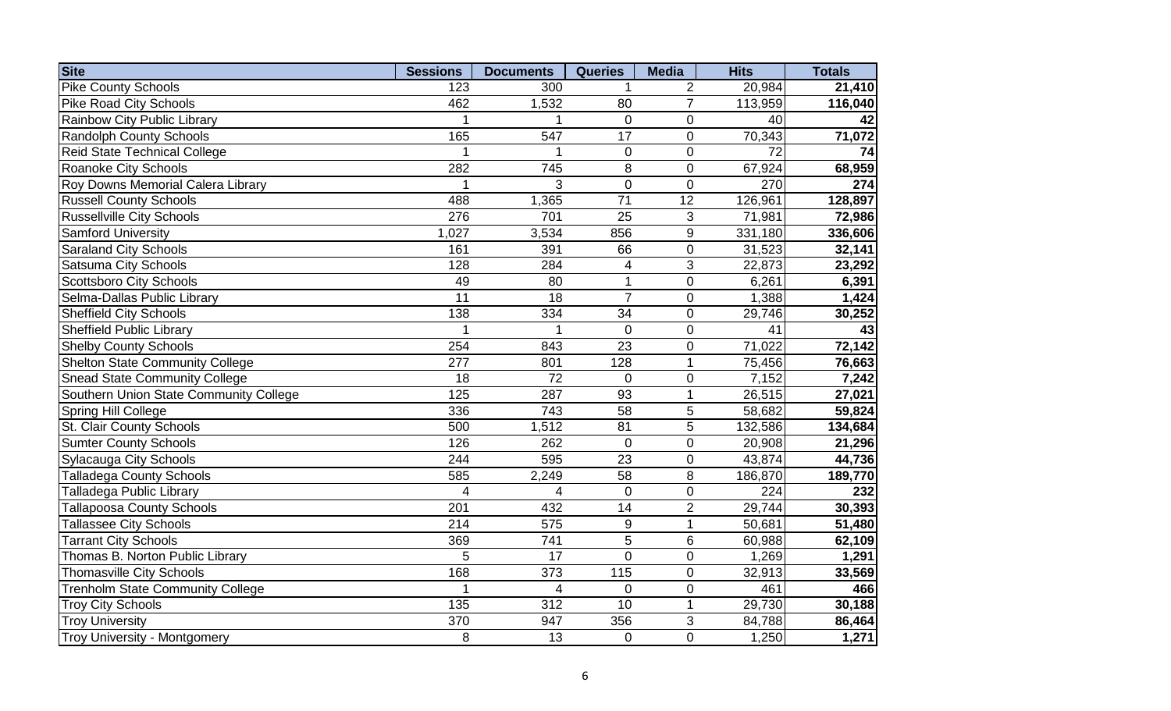| <b>Site</b>                             | <b>Sessions</b>  | <b>Documents</b> | <b>Queries</b>  | <b>Media</b>    | <b>Hits</b> | <b>Totals</b> |
|-----------------------------------------|------------------|------------------|-----------------|-----------------|-------------|---------------|
| <b>Pike County Schools</b>              | 123              | 300              |                 | $\overline{2}$  | 20,984      | 21,410        |
| <b>Pike Road City Schools</b>           | 462              | 1,532            | 80              | $\overline{7}$  | 113,959     | 116,040       |
| Rainbow City Public Library             | 1                |                  | $\Omega$        | $\mathbf 0$     | 40          | 42            |
| <b>Randolph County Schools</b>          | 165              | 547              | 17              | $\mathbf 0$     | 70,343      | 71,072        |
| <b>Reid State Technical College</b>     | 1                | $\mathbf{1}$     | $\mathbf 0$     | $\mathbf 0$     | 72          | 74            |
| Roanoke City Schools                    | 282              | 745              | 8               | $\mathbf 0$     | 67,924      | 68,959        |
| Roy Downs Memorial Calera Library       |                  | 3                | $\overline{0}$  | $\overline{0}$  | 270         | 274           |
| <b>Russell County Schools</b>           | 488              | 1,365            | $\overline{71}$ | $\overline{12}$ | 126,961     | 128,897       |
| <b>Russellville City Schools</b>        | 276              | 701              | $\overline{25}$ | 3               | 71,981      | 72,986        |
| <b>Samford University</b>               | 1,027            | 3,534            | 856             | $9$             | 331,180     | 336,606       |
| <b>Saraland City Schools</b>            | 161              | 391              | 66              | $\mathbf 0$     | 31,523      | 32,141        |
| <b>Satsuma City Schools</b>             | 128              | 284              | 4               | 3               | 22,873      | 23,292        |
| <b>Scottsboro City Schools</b>          | 49               | 80               | 1               | $\mathbf 0$     | 6,261       | 6,391         |
| Selma-Dallas Public Library             | $\overline{11}$  | 18               | $\overline{7}$  | $\mathbf 0$     | 1,388       | 1,424         |
| <b>Sheffield City Schools</b>           | 138              | 334              | 34              | $\mathbf 0$     | 29,746      | 30,252        |
| <b>Sheffield Public Library</b>         | 1                | 1                | $\mathbf 0$     | $\mathbf 0$     | 41          | 43            |
| <b>Shelby County Schools</b>            | 254              | 843              | $\overline{23}$ | $\mathbf 0$     | 71,022      | 72,142        |
| <b>Shelton State Community College</b>  | 277              | 801              | 128             | $\mathbf{1}$    | 75,456      | 76,663        |
| <b>Snead State Community College</b>    | 18               | 72               | $\mathbf 0$     | $\mathbf 0$     | 7,152       | 7,242         |
| Southern Union State Community College  | 125              | 287              | 93              | $\overline{1}$  | 26,515      | 27,021        |
| Spring Hill College                     | 336              | 743              | 58              | 5               | 58,682      | 59,824        |
| St. Clair County Schools                | 500              | 1,512            | 81              | $\overline{5}$  | 132,586     | 134,684       |
| <b>Sumter County Schools</b>            | 126              | 262              | $\mathbf 0$     | $\mathbf 0$     | 20,908      | 21,296        |
| <b>Sylacauga City Schools</b>           | 244              | 595              | $\overline{23}$ | $\mathbf 0$     | 43,874      | 44,736        |
| <b>Talladega County Schools</b>         | 585              | 2,249            | 58              | $\bf 8$         | 186,870     | 189,770       |
| <b>Talladega Public Library</b>         | $\overline{4}$   | $\overline{4}$   | $\overline{0}$  | $\overline{0}$  | 224         | 232           |
| <b>Tallapoosa County Schools</b>        | 201              | 432              | 14              | $\overline{2}$  | 29,744      | 30,393        |
| <b>Tallassee City Schools</b>           | 214              | 575              | 9               | $\overline{1}$  | 50,681      | 51,480        |
| <b>Tarrant City Schools</b>             | 369              | 741              | 5               | $\,6$           | 60,988      | 62,109        |
| Thomas B. Norton Public Library         | 5                | 17               | $\overline{0}$  | $\mathbf 0$     | 1,269       | 1,291         |
| <b>Thomasville City Schools</b>         | 168              | 373              | 115             | $\overline{0}$  | 32,913      | 33,569        |
| <b>Trenholm State Community College</b> | 1                | 4                | 0               | $\overline{0}$  | 461         | 466           |
| <b>Troy City Schools</b>                | $\overline{135}$ | $\overline{312}$ | 10              | $\mathbf{1}$    | 29,730      | 30,188        |
| <b>Troy University</b>                  | 370              | 947              | 356             | 3               | 84,788      | 86,464        |
| Troy University - Montgomery            | 8                | 13               | 0               | $\overline{0}$  | 1,250       | 1,271         |